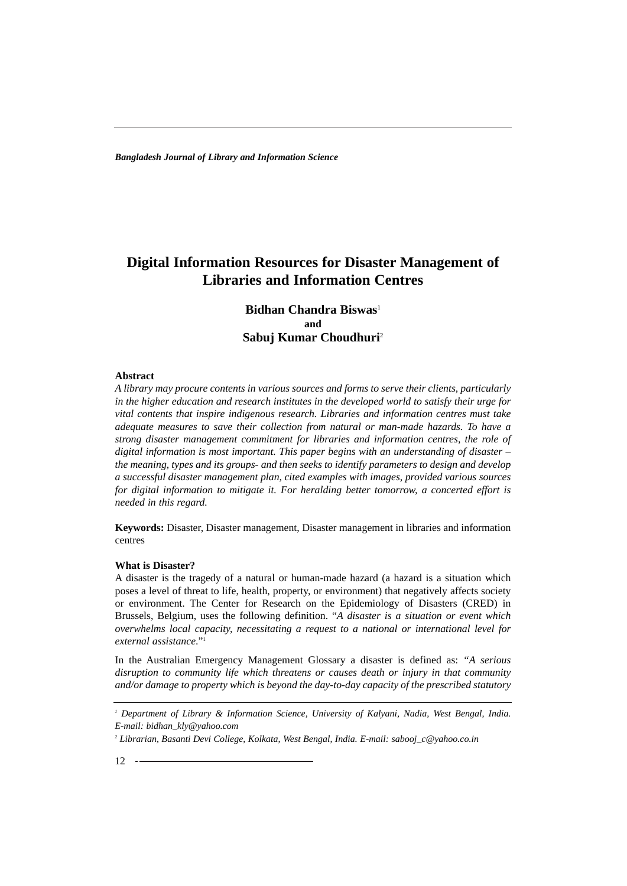# **Digital Information Resources for Disaster Management of Libraries and Information Centres**

**Bidhan Chandra Biswas**<sup>1</sup> **and Sabuj Kumar Choudhuri**<sup>2</sup>

# **Abstract**

*A library may procure contents in various sources and forms to serve their clients, particularly in the higher education and research institutes in the developed world to satisfy their urge for vital contents that inspire indigenous research. Libraries and information centres must take adequate measures to save their collection from natural or man-made hazards. To have a strong disaster management commitment for libraries and information centres, the role of digital information is most important. This paper begins with an understanding of disaster – the meaning, types and its groups- and then seeks to identify parameters to design and develop a successful disaster management plan, cited examples with images, provided various sources for digital information to mitigate it. For heralding better tomorrow, a concerted effort is needed in this regard.*

**Keywords:** Disaster, Disaster management, Disaster management in libraries and information centres

#### **What is Disaster?**

A disaster is the tragedy of a natural or human-made hazard (a hazard is a situation which poses a level of threat to life, health, property, or environment) that negatively affects society or environment. The Center for Research on the Epidemiology of Disasters (CRED) in Brussels, Belgium, uses the following definition. "*A disaster is a situation or event which overwhelms local capacity, necessitating a request to a national or international level for external assistance*."1

In the Australian Emergency Management Glossary a disaster is defined as: *"A serious disruption to community life which threatens or causes death or injury in that community and/or damage to property which is beyond the day-to-day capacity of the prescribed statutory*

*<sup>1</sup> Department of Library & Information Science, University of Kalyani, Nadia, West Bengal, India. E-mail: bidhan\_kly@yahoo.com*

*<sup>2</sup> Librarian, Basanti Devi College, Kolkata, West Bengal, India. E-mail: sabooj\_c@yahoo.co.in*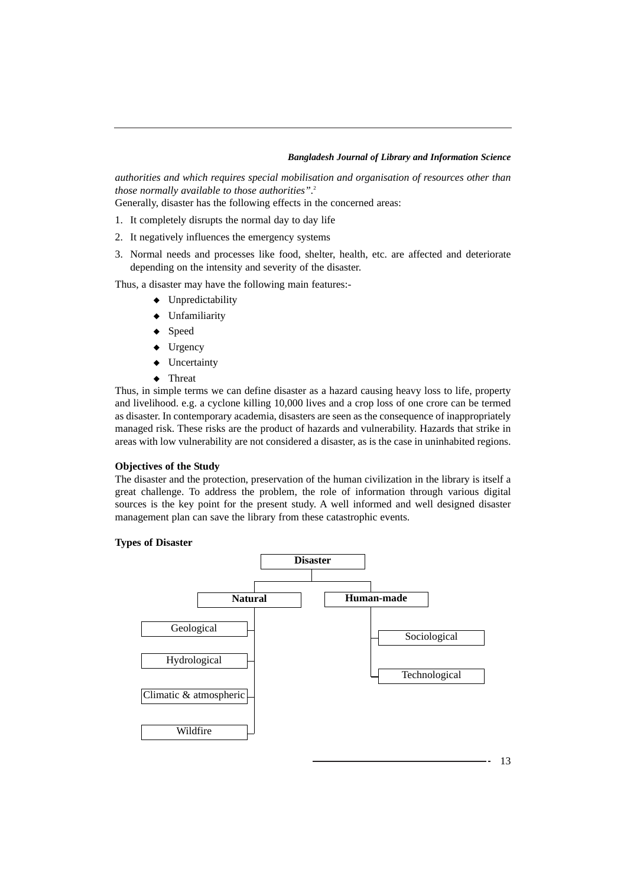*authorities and which requires special mobilisation and organisation of resources other than those normally available to those authorities".*<sup>2</sup>

Generally, disaster has the following effects in the concerned areas:

- 1. It completely disrupts the normal day to day life
- 2. It negatively influences the emergency systems
- 3. Normal needs and processes like food, shelter, health, etc. are affected and deteriorate depending on the intensity and severity of the disaster.

Thus, a disaster may have the following main features:-

- $\blacklozenge$  Unpredictability
- Unfamiliarity
- Speed
- Urgency
- Uncertainty
- ◆ Threat

Thus, in simple terms we can define disaster as a hazard causing heavy loss to life, property and livelihood. e.g. a cyclone killing 10,000 lives and a crop loss of one crore can be termed as disaster. In contemporary academia, disasters are seen as the consequence of inappropriately managed risk. These risks are the product of hazards and vulnerability. Hazards that strike in areas with low vulnerability are not considered a disaster, as is the case in uninhabited regions.

# **Objectives of the Study**

The disaster and the protection, preservation of the human civilization in the library is itself a great challenge. To address the problem, the role of information through various digital sources is the key point for the present study. A well informed and well designed disaster management plan can save the library from these catastrophic events.

#### **Types of Disaster**

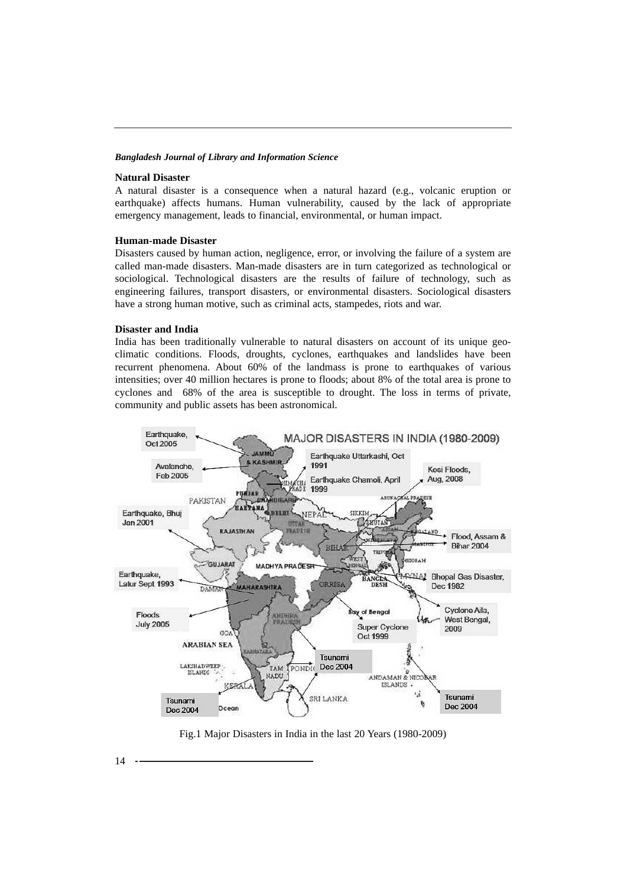# **Natural Disaster**

A natural disaster is a consequence when a natural hazard (e.g., volcanic eruption or earthquake) affects humans. Human vulnerability, caused by the lack of appropriate emergency management, leads to financial, environmental, or human impact.

### **Human-made Disaster**

Disasters caused by human action, negligence, error, or involving the failure of a system are called man-made disasters. Man-made disasters are in turn categorized as technological or sociological. Technological disasters are the results of failure of technology, such as engineering failures, transport disasters, or environmental disasters. Sociological disasters have a strong human motive, such as criminal acts, stampedes, riots and war.

#### **Disaster and India**

India has been traditionally vulnerable to natural disasters on account of its unique geoclimatic conditions. Floods, droughts, cyclones, earthquakes and landslides have been recurrent phenomena. About 60% of the landmass is prone to earthquakes of various intensities; over 40 million hectares is prone to floods; about 8% of the total area is prone to cyclones and 68% of the area is susceptible to drought. The loss in terms of private, community and public assets has been astronomical.



Fig.1 Major Disasters in India in the last 20 Years (1980-2009)

14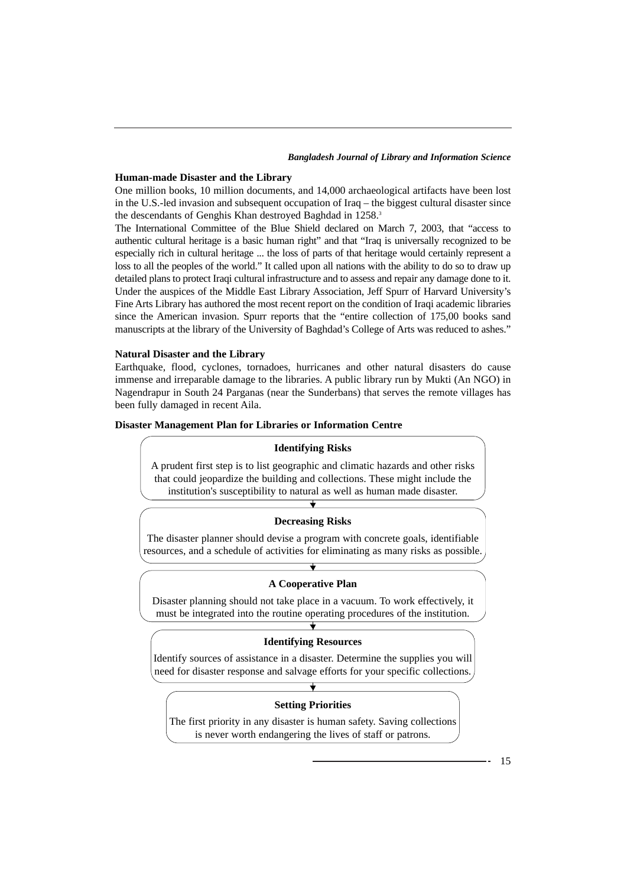## **Human-made Disaster and the Library**

One million books, 10 million documents, and 14,000 archaeological artifacts have been lost in the U.S.-led invasion and subsequent occupation of Iraq – the biggest cultural disaster since the descendants of Genghis Khan destroyed Baghdad in 1258.<sup>3</sup>

The International Committee of the Blue Shield declared on March 7, 2003, that "access to authentic cultural heritage is a basic human right" and that "Iraq is universally recognized to be especially rich in cultural heritage ... the loss of parts of that heritage would certainly represent a loss to all the peoples of the world." It called upon all nations with the ability to do so to draw up detailed plans to protect Iraqi cultural infrastructure and to assess and repair any damage done to it. Under the auspices of the Middle East Library Association, Jeff Spurr of Harvard University's Fine Arts Library has authored the most recent report on the condition of Iraqi academic libraries since the American invasion. Spurr reports that the "entire collection of 175,00 books sand manuscripts at the library of the University of Baghdad's College of Arts was reduced to ashes."

## **Natural Disaster and the Library**

Earthquake, flood, cyclones, tornadoes, hurricanes and other natural disasters do cause immense and irreparable damage to the libraries. A public library run by Mukti (An NGO) in Nagendrapur in South 24 Parganas (near the Sunderbans) that serves the remote villages has been fully damaged in recent Aila.

### **Disaster Management Plan for Libraries or Information Centre**

#### **Identifying Risks**

A prudent first step is to list geographic and climatic hazards and other risks that could jeopardize the building and collections. These might include the institution's susceptibility to natural as well as human made disaster.

# $\overline{\textbf{v}}$ **Decreasing Risks**

The disaster planner should devise a program with concrete goals, identifiable resources, and a schedule of activities for eliminating as many risks as possible.

#### **A Cooperative Plan**

Disaster planning should not take place in a vacuum. To work effectively, it must be integrated into the routine operating procedures of the institution. $\overline{\textbf{v}}$ 

# **Identifying Resources**

Identify sources of assistance in a disaster. Determine the supplies you will need for disaster response and salvage efforts for your specific collections.

#### **Setting Priorities**

The first priority in any disaster is human safety. Saving collections is never worth endangering the lives of staff or patrons.

15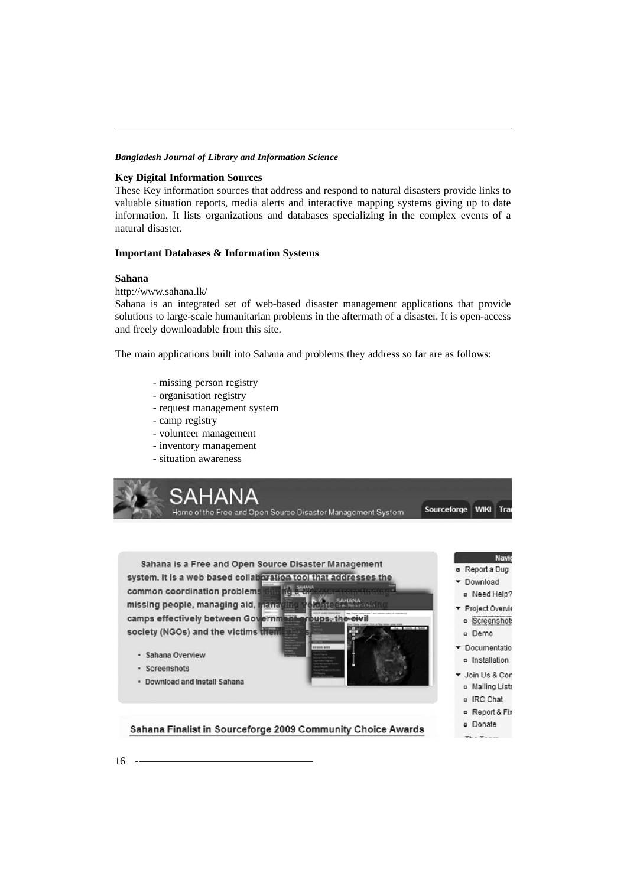# **Key Digital Information Sources**

These Key information sources that address and respond to natural disasters provide links to valuable situation reports, media alerts and interactive mapping systems giving up to date information. It lists organizations and databases specializing in the complex events of a natural disaster.

#### **Important Databases & Information Systems**

#### **Sahana**

http://www.sahana.lk/

Sahana is an integrated set of web-based disaster management applications that provide solutions to large-scale humanitarian problems in the aftermath of a disaster. It is open-access and freely downloadable from this site.

The main applications built into Sahana and problems they address so far are as follows:

- missing person registry
- organisation registry
- request management system
- camp registry
- volunteer management
- inventory management
- situation awareness





 $16 -$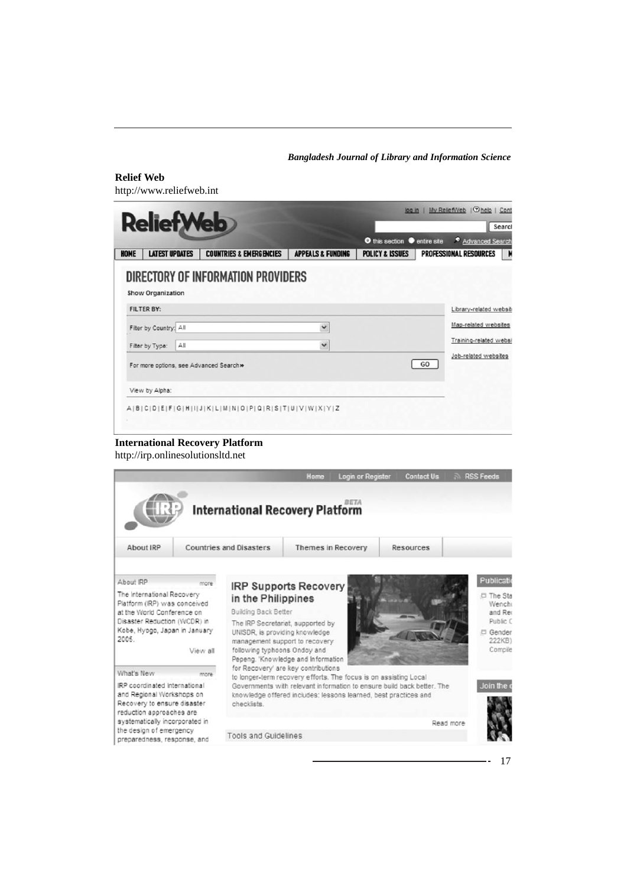# **Relief Web**

http://www.reliefweb.int

| <b>Relief Web</b>                                                                                       | log in   My ReliefWeb   Chelp   Cont<br>Search |                                     |                                    |
|---------------------------------------------------------------------------------------------------------|------------------------------------------------|-------------------------------------|------------------------------------|
|                                                                                                         |                                                | <b>●</b> this section ● entire site | Advanced Search                    |
| <b>LATEST UPDATES</b><br>HOME<br><b>COUNTRIES &amp; EMERGENCIES</b>                                     | <b>APPEALS &amp; FUNDING</b>                   | <b>POLICY &amp; ISSUES</b>          | <b>PROFESSIONAL RESOURCES</b><br>H |
| DIRECTORY OF INFORMATION PROVIDERS<br><b>Show Organization</b><br>FILTER BY:                            |                                                |                                     |                                    |
|                                                                                                         |                                                |                                     | Library-related website            |
| Fiter by Country: All                                                                                   | $\checkmark$                                   |                                     | Map-related websites               |
| All<br>Filter by Type:                                                                                  | $\checkmark$                                   |                                     | Training-related websit            |
| For more options, see Advanced Search»                                                                  |                                                |                                     | Job-related websites<br>GO.        |
| View by Alpha:                                                                                          |                                                |                                     |                                    |
| $A   B   C   D   E   F   G   H   I   J   K   L   M   N   O   P   Q   R   S   T   U   V   W   X   Y   Z$ |                                                |                                     |                                    |

# **International Recovery Platform**

http://irp.onlinesolutionsltd.net

|                                                                                                                                                                                 |                  |                                                                                                              | Home                                                                                                                                                                             | <b>Login or Register</b> | <b>Contact Us</b>                                                                                                                         | <b>RSS Feeds</b>                                                                         |
|---------------------------------------------------------------------------------------------------------------------------------------------------------------------------------|------------------|--------------------------------------------------------------------------------------------------------------|----------------------------------------------------------------------------------------------------------------------------------------------------------------------------------|--------------------------|-------------------------------------------------------------------------------------------------------------------------------------------|------------------------------------------------------------------------------------------|
|                                                                                                                                                                                 |                  | <b>International Recovery Platform</b>                                                                       |                                                                                                                                                                                  |                          |                                                                                                                                           |                                                                                          |
| About IRP                                                                                                                                                                       |                  | <b>Countries and Disasters</b>                                                                               | Themes in Recovery                                                                                                                                                               |                          | <b>Resources</b>                                                                                                                          |                                                                                          |
| About IRP<br>The International Recovery<br>Platform (IRP) was conceived<br>at the World Conference on<br>Disaster Reduction (WCDR) in<br>Kobe, Hyogo, Japan in January<br>2005. | more<br>View all | in the Philippines<br>Building Back Better<br>UNISDR, is providing knowledge<br>following typhoons Ondoy and | <b>IRP Supports Recovery</b><br>The IRP Secretariat, supported by<br>management support to recovery<br>Pepeng. 'Knowledge and Information<br>for Recovery' are key contributions |                          |                                                                                                                                           | Publicatio<br>□ The Sta<br>Wench<br>and Rec<br>Public C<br>口 Gender<br>222KB)<br>Compile |
| What's New<br>IRP coordinated International<br>and Regional Workshops on<br>Recovery to ensure disaster<br>reduction approaches are                                             | more             | checklists                                                                                                   | to longer-term recovery efforts. The focus is on assisting Local                                                                                                                 |                          | Governments with relevant information to ensure build back better. The<br>knowledge offered includes: lessons learned, best practices and | Join the                                                                                 |
| systematically incorporated in                                                                                                                                                  |                  |                                                                                                              |                                                                                                                                                                                  |                          |                                                                                                                                           | Read more                                                                                |
| the design of emergency<br>preparedness, response, and                                                                                                                          |                  | <b>Tools and Guidelines</b>                                                                                  |                                                                                                                                                                                  |                          |                                                                                                                                           |                                                                                          |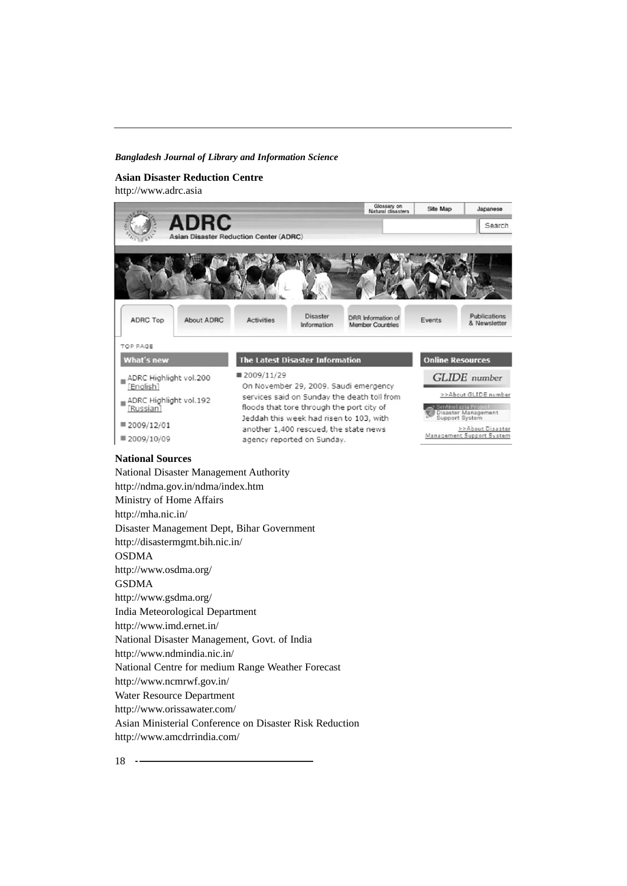# **Asian Disaster Reduction Centre**

http://www.adrc.asia

|                                                                                                          | <b>ADRC</b><br>Asian Disaster Reduction Center (ADRC) |                                                                                                                                                                                                                                                                     |                                | Glossary on<br>Natural disasters                                                                                                                             | Site Map | Japanese<br>Search           |
|----------------------------------------------------------------------------------------------------------|-------------------------------------------------------|---------------------------------------------------------------------------------------------------------------------------------------------------------------------------------------------------------------------------------------------------------------------|--------------------------------|--------------------------------------------------------------------------------------------------------------------------------------------------------------|----------|------------------------------|
|                                                                                                          |                                                       |                                                                                                                                                                                                                                                                     |                                |                                                                                                                                                              |          |                              |
| <b>ADRC Top</b>                                                                                          | <b>About ADRC</b>                                     | <b>Activities</b>                                                                                                                                                                                                                                                   | <b>Disaster</b><br>Information | DRR Information of<br><b>Member Countries</b>                                                                                                                | Events   | Publications<br>& Newsletter |
| TOP PAGE                                                                                                 |                                                       |                                                                                                                                                                                                                                                                     |                                |                                                                                                                                                              |          |                              |
| What's new<br><b>The Latest Disaster Information</b>                                                     |                                                       |                                                                                                                                                                                                                                                                     | <b>Online Resources</b>        |                                                                                                                                                              |          |                              |
| ADRC Highlight vol.200<br>[English]<br>ADRC Highlight vol.192<br>[Russian]<br>12009/12/01<br>12009/10/09 |                                                       | ■ 2009/11/29<br>On November 29, 2009. Saudi emergency<br>services said on Sunday the death toll from<br>floods that tore through the port city of<br>Jeddah this week had risen to 103, with<br>another 1,400 rescued, the state news<br>agency reported on Sunday. |                                | <b>GLIDE</b> number<br>>>About GLIDE number<br>ntine) assa Frotent<br>Disaster Management<br>Support System<br>>>About Disaster<br>Management Support System |          |                              |

# **National Sources**

National Disaster Management Authority http://ndma.gov.in/ndma/index.htm Ministry of Home Affairs http://mha.nic.in/ Disaster Management Dept, Bihar Government http://disastermgmt.bih.nic.in/ OSDMA http://www.osdma.org/ **GSDMA** http://www.gsdma.org/ India Meteorological Department http://www.imd.ernet.in/ National Disaster Management, Govt. of India http://www.ndmindia.nic.in/ National Centre for medium Range Weather Forecast http://www.ncmrwf.gov.in/ Water Resource Department http://www.orissawater.com/ Asian Ministerial Conference on Disaster Risk Reduction

http://www.amcdrrindia.com/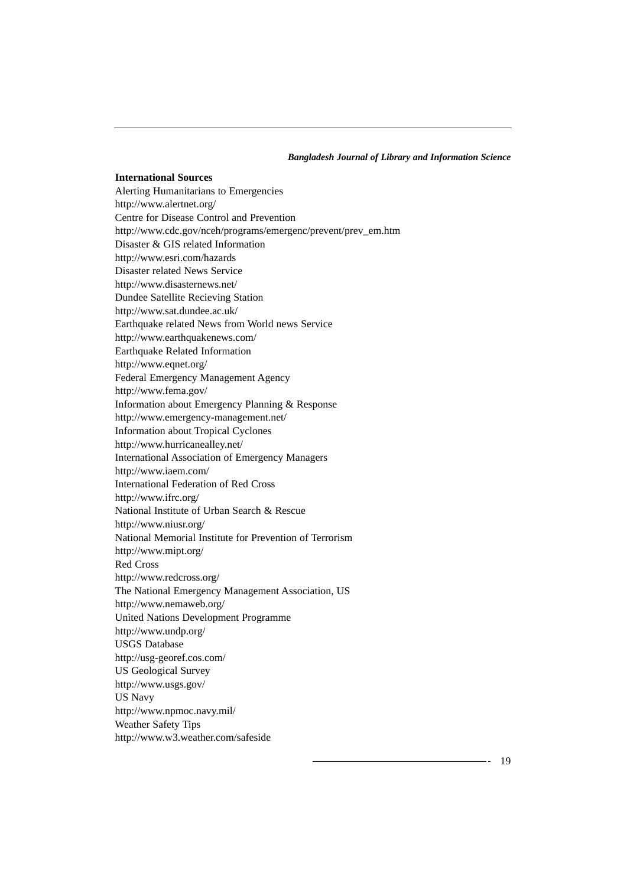**International Sources** Alerting Humanitarians to Emergencies http://www.alertnet.org/ Centre for Disease Control and Prevention http://www.cdc.gov/nceh/programs/emergenc/prevent/prev\_em.htm Disaster & GIS related Information http://www.esri.com/hazards Disaster related News Service http://www.disasternews.net/ Dundee Satellite Recieving Station http://www.sat.dundee.ac.uk/ Earthquake related News from World news Service http://www.earthquakenews.com/ Earthquake Related Information http://www.eqnet.org/ Federal Emergency Management Agency http://www.fema.gov/ Information about Emergency Planning & Response http://www.emergency-management.net/ Information about Tropical Cyclones http://www.hurricanealley.net/ International Association of Emergency Managers http://www.iaem.com/ International Federation of Red Cross http://www.ifrc.org/ National Institute of Urban Search & Rescue http://www.niusr.org/ National Memorial Institute for Prevention of Terrorism http://www.mipt.org/ Red Cross http://www.redcross.org/ The National Emergency Management Association, US http://www.nemaweb.org/ United Nations Development Programme http://www.undp.org/ USGS Database http://usg-georef.cos.com/ US Geological Survey http://www.usgs.gov/ US Navy http://www.npmoc.navy.mil/ Weather Safety Tips http://www.w3.weather.com/safeside

19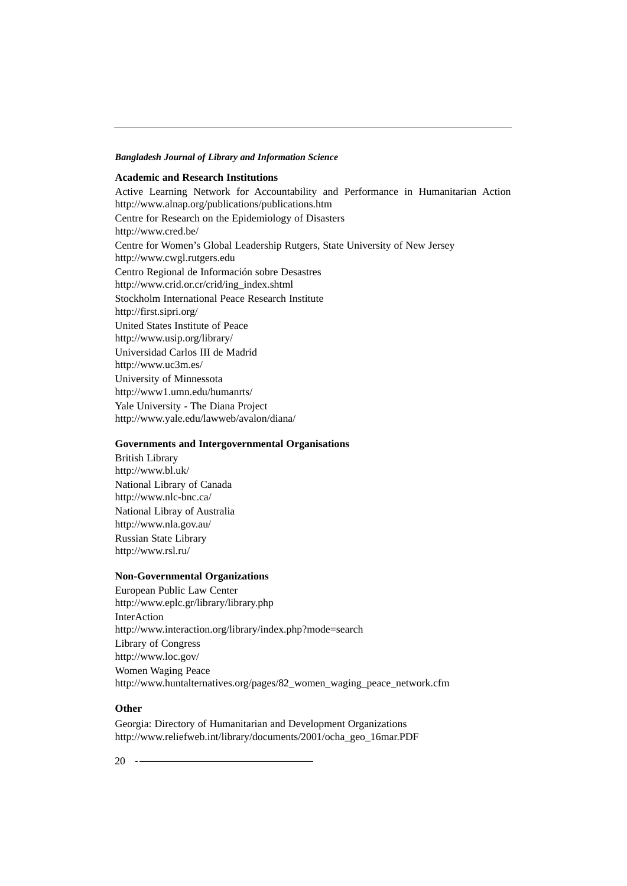# **Academic and Research Institutions**

Active Learning Network for Accountability and Performance in Humanitarian Action http://www.alnap.org/publications/publications.htm Centre for Research on the Epidemiology of Disasters http://www.cred.be/ Centre for Women's Global Leadership Rutgers, State University of New Jersey http://www.cwgl.rutgers.edu Centro Regional de Información sobre Desastres http://www.crid.or.cr/crid/ing\_index.shtml Stockholm International Peace Research Institute http://first.sipri.org/ United States Institute of Peace http://www.usip.org/library/ Universidad Carlos III de Madrid http://www.uc3m.es/ University of Minnessota http://www1.umn.edu/humanrts/ Yale University - The Diana Project http://www.yale.edu/lawweb/avalon/diana/

# **Governments and Intergovernmental Organisations**

British Library http://www.bl.uk/ National Library of Canada http://www.nlc-bnc.ca/ National Libray of Australia http://www.nla.gov.au/ Russian State Library http://www.rsl.ru/

# **Non-Governmental Organizations**

European Public Law Center http://www.eplc.gr/library/library.php InterAction http://www.interaction.org/library/index.php?mode=search Library of Congress http://www.loc.gov/ Women Waging Peace http://www.huntalternatives.org/pages/82\_women\_waging\_peace\_network.cfm

# **Other**

Georgia: Directory of Humanitarian and Development Organizations http://www.reliefweb.int/library/documents/2001/ocha\_geo\_16mar.PDF